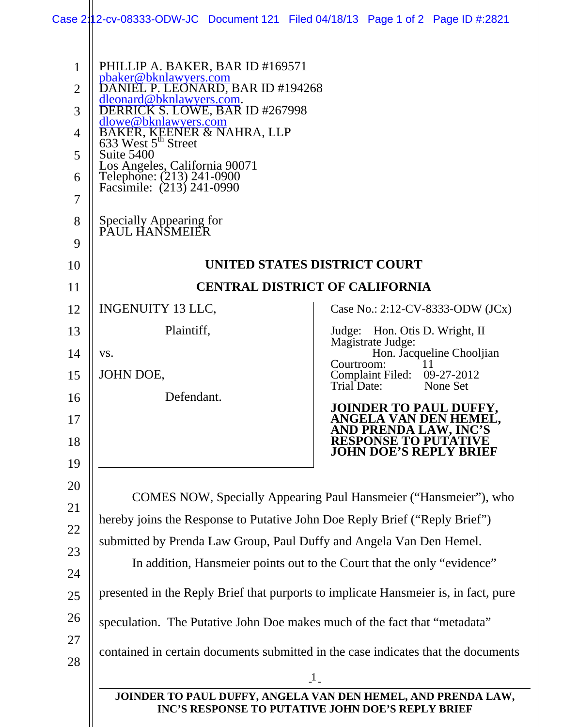| 1<br>$\overline{2}$<br>3<br>$\overline{4}$<br>5<br>6<br>$\overline{7}$<br>8 | PHILLIP A. BAKER, BAR ID #169571<br>pbaker@bknlawyers.com<br>DANIEL P. LEONARD, BAR ID #194268<br>dleonard@bknlawyers.com.<br>DERRICK S. LOWE, BAR ID #267998<br><u>dlowe@bknlawyers.com</u><br>BAKER, KEENER & NAHRA, LLP<br>633 West 5 <sup>th</sup> Street<br>Suite 5400<br>Los Angeles, California 90071<br>Telephone: (213) 241-0900<br>Facsimile: (213) 241-0990<br>Specially Appearing for<br>PAUL HANSMEIER |                                                                     |  |
|-----------------------------------------------------------------------------|---------------------------------------------------------------------------------------------------------------------------------------------------------------------------------------------------------------------------------------------------------------------------------------------------------------------------------------------------------------------------------------------------------------------|---------------------------------------------------------------------|--|
| 9                                                                           |                                                                                                                                                                                                                                                                                                                                                                                                                     |                                                                     |  |
| 10                                                                          | UNITED STATES DISTRICT COURT                                                                                                                                                                                                                                                                                                                                                                                        |                                                                     |  |
| 11                                                                          | <b>CENTRAL DISTRICT OF CALIFORNIA</b>                                                                                                                                                                                                                                                                                                                                                                               |                                                                     |  |
| 12                                                                          | INGENUITY 13 LLC,                                                                                                                                                                                                                                                                                                                                                                                                   | Case No.: 2:12-CV-8333-ODW (JCx)                                    |  |
| 13                                                                          | Plaintiff,                                                                                                                                                                                                                                                                                                                                                                                                          | Judge: Hon. Otis D. Wright, II<br>Magistrate Judge:                 |  |
| 14                                                                          | VS.                                                                                                                                                                                                                                                                                                                                                                                                                 | Hon. Jacqueline Chooljian<br>Courtroom:                             |  |
| 15                                                                          | JOHN DOE,                                                                                                                                                                                                                                                                                                                                                                                                           | Complaint Filed: 09-27-2012<br>Trial Date:<br>None Set              |  |
| 16                                                                          | Defendant.                                                                                                                                                                                                                                                                                                                                                                                                          | <b>JOINDER TO PAUL DUFFY,</b>                                       |  |
| 17<br>18                                                                    |                                                                                                                                                                                                                                                                                                                                                                                                                     | ANGELA VAN DEN HEMEL,<br>AND PRENDA LAW, INC'S<br><b>RESPONSE T</b> |  |
| 19                                                                          |                                                                                                                                                                                                                                                                                                                                                                                                                     | JOHN DOE'S REPLY BRIEF                                              |  |
| 20                                                                          |                                                                                                                                                                                                                                                                                                                                                                                                                     |                                                                     |  |
| 21                                                                          | <b>COMES NOW, Specially Appearing Paul Hansmeier ("Hansmeier"), who</b>                                                                                                                                                                                                                                                                                                                                             |                                                                     |  |
| 22                                                                          | hereby joins the Response to Putative John Doe Reply Brief ("Reply Brief")                                                                                                                                                                                                                                                                                                                                          |                                                                     |  |
| 23                                                                          | submitted by Prenda Law Group, Paul Duffy and Angela Van Den Hemel.                                                                                                                                                                                                                                                                                                                                                 |                                                                     |  |
| 24                                                                          | In addition, Hansmeier points out to the Court that the only "evidence"                                                                                                                                                                                                                                                                                                                                             |                                                                     |  |
| 25                                                                          | presented in the Reply Brief that purports to implicate Hansmeier is, in fact, pure                                                                                                                                                                                                                                                                                                                                 |                                                                     |  |
| 26                                                                          | speculation. The Putative John Doe makes much of the fact that "metadata"                                                                                                                                                                                                                                                                                                                                           |                                                                     |  |
| 27                                                                          |                                                                                                                                                                                                                                                                                                                                                                                                                     |                                                                     |  |
| 28                                                                          | contained in certain documents submitted in the case indicates that the documents                                                                                                                                                                                                                                                                                                                                   |                                                                     |  |
|                                                                             | $\lfloor$ 1                                                                                                                                                                                                                                                                                                                                                                                                         |                                                                     |  |
|                                                                             | JOINDER TO PAUL DUFFY, ANGELA VAN DEN HEMEL, AND PRENDA LAW,<br>INC'S RESPONSE TO PUTATIVE JOHN DOE'S REPLY BRIEF                                                                                                                                                                                                                                                                                                   |                                                                     |  |